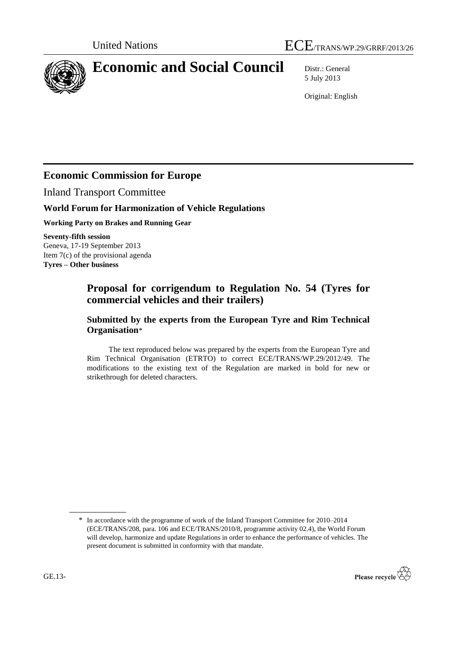



# **Economic and Social Council** Distr.: General

5 July 2013

Original: English

## **Economic Commission for Europe**

Inland Transport Committee

### **World Forum for Harmonization of Vehicle Regulations**

**Working Party on Brakes and Running Gear**

**Seventy-fifth session** Geneva, 17-19 September 2013 Item 7(c) of the provisional agenda **Tyres – Other business**

## **Proposal for corrigendum to Regulation No. 54 (Tyres for commercial vehicles and their trailers)**

### **Submitted by the experts from the European Tyre and Rim Technical Organisation**\*

The text reproduced below was prepared by the experts from the European Tyre and Rim Technical Organisation (ETRTO) to correct ECE/TRANS/WP.29/2012/49. The modifications to the existing text of the Regulation are marked in bold for new or strikethrough for deleted characters.

<sup>\*</sup> In accordance with the programme of work of the Inland Transport Committee for 2010–2014 (ECE/TRANS/208, para. 106 and ECE/TRANS/2010/8, programme activity 02.4), the World Forum will develop, harmonize and update Regulations in order to enhance the performance of vehicles. The present document is submitted in conformity with that mandate.